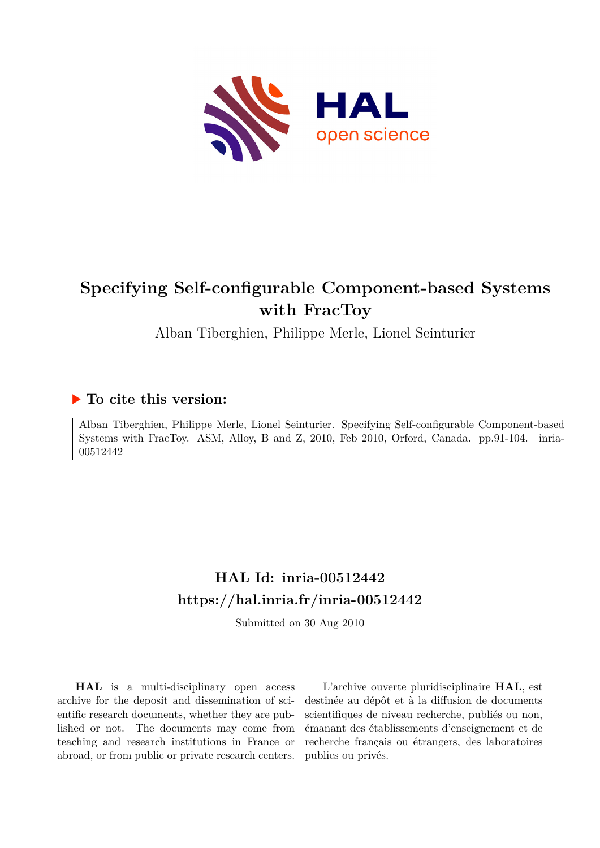

# **Specifying Self-configurable Component-based Systems with FracToy**

Alban Tiberghien, Philippe Merle, Lionel Seinturier

## **To cite this version:**

Alban Tiberghien, Philippe Merle, Lionel Seinturier. Specifying Self-configurable Component-based Systems with FracToy. ASM, Alloy, B and Z, 2010, Feb 2010, Orford, Canada. pp.91-104. inria-00512442

# **HAL Id: inria-00512442 <https://hal.inria.fr/inria-00512442>**

Submitted on 30 Aug 2010

**HAL** is a multi-disciplinary open access archive for the deposit and dissemination of scientific research documents, whether they are published or not. The documents may come from teaching and research institutions in France or abroad, or from public or private research centers.

L'archive ouverte pluridisciplinaire **HAL**, est destinée au dépôt et à la diffusion de documents scientifiques de niveau recherche, publiés ou non, émanant des établissements d'enseignement et de recherche français ou étrangers, des laboratoires publics ou privés.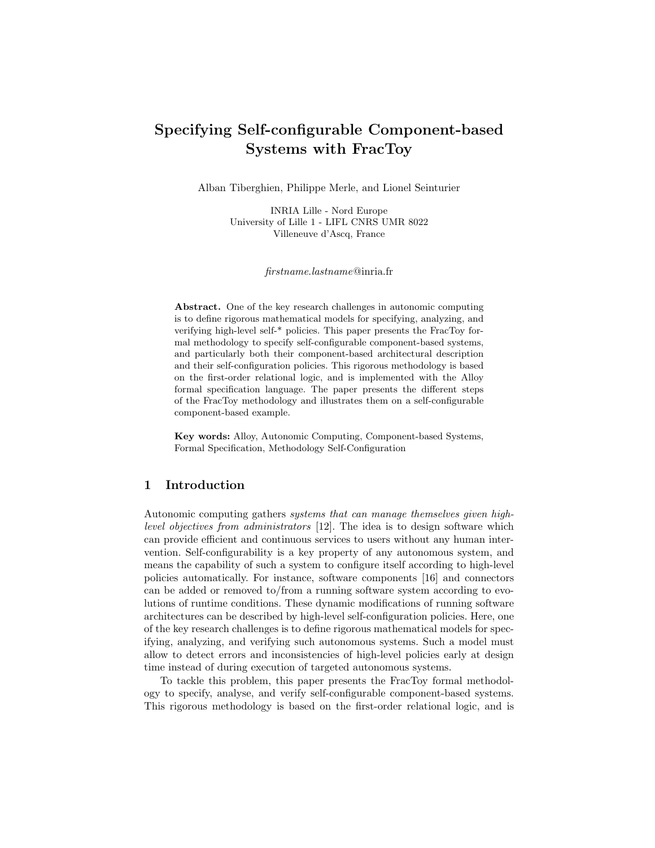## Specifying Self-configurable Component-based Systems with FracToy

Alban Tiberghien, Philippe Merle, and Lionel Seinturier

INRIA Lille - Nord Europe University of Lille 1 - LIFL CNRS UMR 8022 Villeneuve d'Ascq, France

firstname.lastname@inria.fr

Abstract. One of the key research challenges in autonomic computing is to define rigorous mathematical models for specifying, analyzing, and verifying high-level self-\* policies. This paper presents the FracToy formal methodology to specify self-configurable component-based systems, and particularly both their component-based architectural description and their self-configuration policies. This rigorous methodology is based on the first-order relational logic, and is implemented with the Alloy formal specification language. The paper presents the different steps of the FracToy methodology and illustrates them on a self-configurable component-based example.

Key words: Alloy, Autonomic Computing, Component-based Systems, Formal Specification, Methodology Self-Configuration

## 1 Introduction

Autonomic computing gathers systems that can manage themselves given highlevel objectives from administrators [12]. The idea is to design software which can provide efficient and continuous services to users without any human intervention. Self-configurability is a key property of any autonomous system, and means the capability of such a system to configure itself according to high-level policies automatically. For instance, software components [16] and connectors can be added or removed to/from a running software system according to evolutions of runtime conditions. These dynamic modifications of running software architectures can be described by high-level self-configuration policies. Here, one of the key research challenges is to define rigorous mathematical models for specifying, analyzing, and verifying such autonomous systems. Such a model must allow to detect errors and inconsistencies of high-level policies early at design time instead of during execution of targeted autonomous systems.

To tackle this problem, this paper presents the FracToy formal methodology to specify, analyse, and verify self-configurable component-based systems. This rigorous methodology is based on the first-order relational logic, and is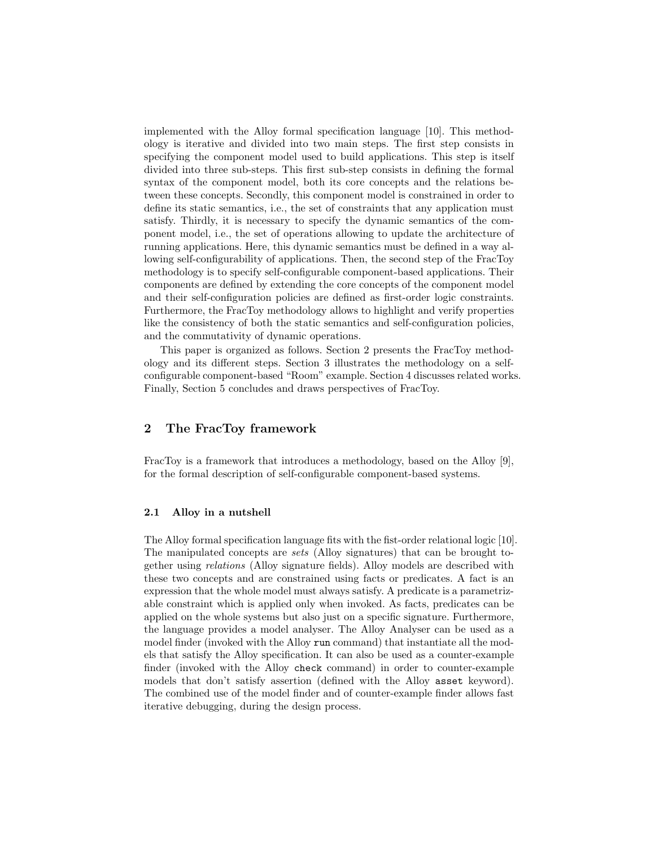implemented with the Alloy formal specification language [10]. This methodology is iterative and divided into two main steps. The first step consists in specifying the component model used to build applications. This step is itself divided into three sub-steps. This first sub-step consists in defining the formal syntax of the component model, both its core concepts and the relations between these concepts. Secondly, this component model is constrained in order to define its static semantics, i.e., the set of constraints that any application must satisfy. Thirdly, it is necessary to specify the dynamic semantics of the component model, i.e., the set of operations allowing to update the architecture of running applications. Here, this dynamic semantics must be defined in a way allowing self-configurability of applications. Then, the second step of the FracToy methodology is to specify self-configurable component-based applications. Their components are defined by extending the core concepts of the component model and their self-configuration policies are defined as first-order logic constraints. Furthermore, the FracToy methodology allows to highlight and verify properties like the consistency of both the static semantics and self-configuration policies, and the commutativity of dynamic operations.

This paper is organized as follows. Section 2 presents the FracToy methodology and its different steps. Section 3 illustrates the methodology on a selfconfigurable component-based "Room" example. Section 4 discusses related works. Finally, Section 5 concludes and draws perspectives of FracToy.

## 2 The FracToy framework

FracToy is a framework that introduces a methodology, based on the Alloy [9], for the formal description of self-configurable component-based systems.

#### 2.1 Alloy in a nutshell

The Alloy formal specification language fits with the fist-order relational logic [10]. The manipulated concepts are sets (Alloy signatures) that can be brought together using relations (Alloy signature fields). Alloy models are described with these two concepts and are constrained using facts or predicates. A fact is an expression that the whole model must always satisfy. A predicate is a parametrizable constraint which is applied only when invoked. As facts, predicates can be applied on the whole systems but also just on a specific signature. Furthermore, the language provides a model analyser. The Alloy Analyser can be used as a model finder (invoked with the Alloy run command) that instantiate all the models that satisfy the Alloy specification. It can also be used as a counter-example finder (invoked with the Alloy check command) in order to counter-example models that don't satisfy assertion (defined with the Alloy asset keyword). The combined use of the model finder and of counter-example finder allows fast iterative debugging, during the design process.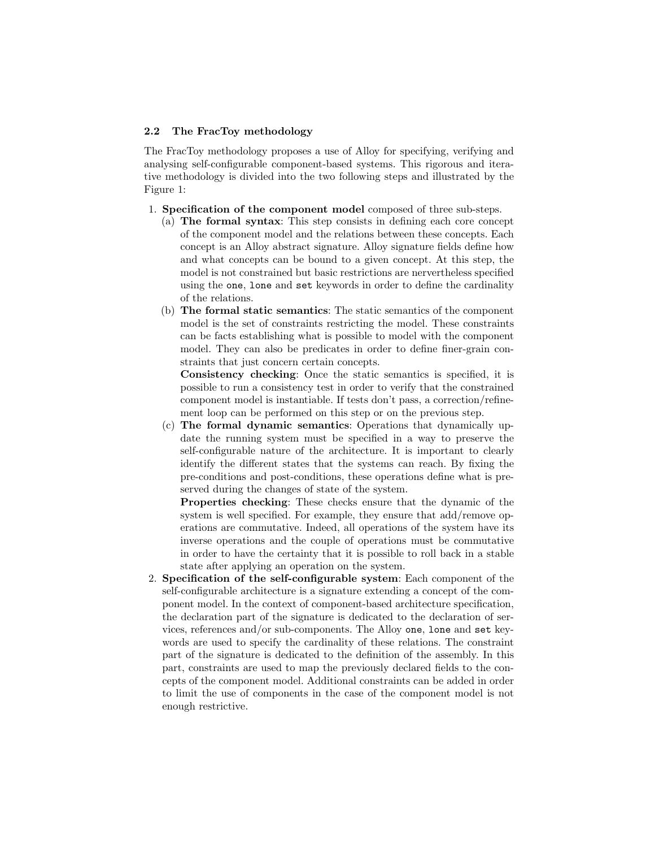#### 2.2 The FracToy methodology

The FracToy methodology proposes a use of Alloy for specifying, verifying and analysing self-configurable component-based systems. This rigorous and iterative methodology is divided into the two following steps and illustrated by the Figure 1:

- 1. Specification of the component model composed of three sub-steps.
	- (a) The formal syntax: This step consists in defining each core concept of the component model and the relations between these concepts. Each concept is an Alloy abstract signature. Alloy signature fields define how and what concepts can be bound to a given concept. At this step, the model is not constrained but basic restrictions are nervertheless specified using the one, lone and set keywords in order to define the cardinality of the relations.
	- (b) The formal static semantics: The static semantics of the component model is the set of constraints restricting the model. These constraints can be facts establishing what is possible to model with the component model. They can also be predicates in order to define finer-grain constraints that just concern certain concepts.

Consistency checking: Once the static semantics is specified, it is possible to run a consistency test in order to verify that the constrained component model is instantiable. If tests don't pass, a correction/refinement loop can be performed on this step or on the previous step.

(c) The formal dynamic semantics: Operations that dynamically update the running system must be specified in a way to preserve the self-configurable nature of the architecture. It is important to clearly identify the different states that the systems can reach. By fixing the pre-conditions and post-conditions, these operations define what is preserved during the changes of state of the system.

Properties checking: These checks ensure that the dynamic of the system is well specified. For example, they ensure that add/remove operations are commutative. Indeed, all operations of the system have its inverse operations and the couple of operations must be commutative in order to have the certainty that it is possible to roll back in a stable state after applying an operation on the system.

2. Specification of the self-configurable system: Each component of the self-configurable architecture is a signature extending a concept of the component model. In the context of component-based architecture specification, the declaration part of the signature is dedicated to the declaration of services, references and/or sub-components. The Alloy one, lone and set keywords are used to specify the cardinality of these relations. The constraint part of the signature is dedicated to the definition of the assembly. In this part, constraints are used to map the previously declared fields to the concepts of the component model. Additional constraints can be added in order to limit the use of components in the case of the component model is not enough restrictive.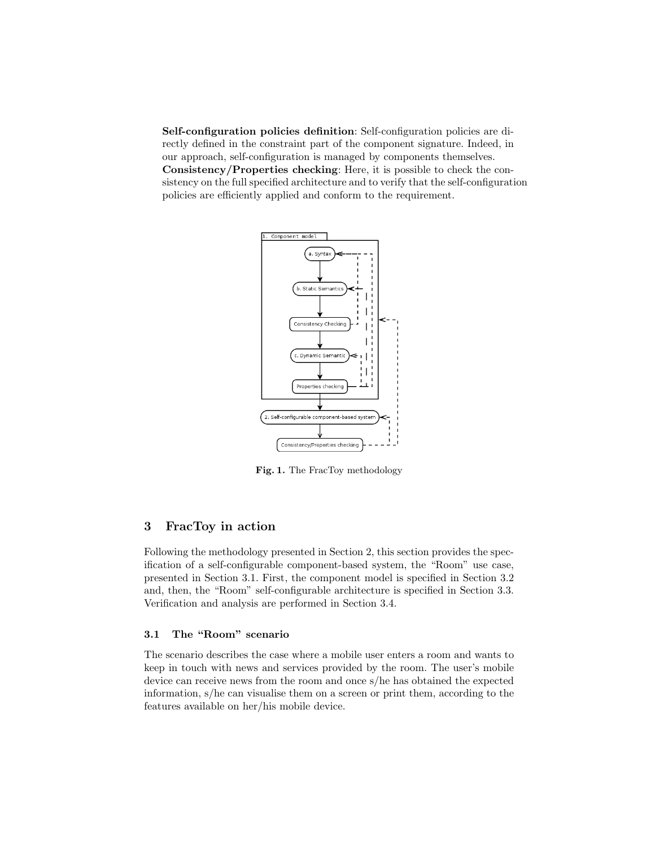Self-configuration policies definition: Self-configuration policies are directly defined in the constraint part of the component signature. Indeed, in our approach, self-configuration is managed by components themselves. Consistency/Properties checking: Here, it is possible to check the consistency on the full specified architecture and to verify that the self-configuration policies are efficiently applied and conform to the requirement.



Fig. 1. The FracToy methodology

## 3 FracToy in action

Following the methodology presented in Section 2, this section provides the specification of a self-configurable component-based system, the "Room" use case, presented in Section 3.1. First, the component model is specified in Section 3.2 and, then, the "Room" self-configurable architecture is specified in Section 3.3. Verification and analysis are performed in Section 3.4.

## 3.1 The "Room" scenario

The scenario describes the case where a mobile user enters a room and wants to keep in touch with news and services provided by the room. The user's mobile device can receive news from the room and once s/he has obtained the expected information, s/he can visualise them on a screen or print them, according to the features available on her/his mobile device.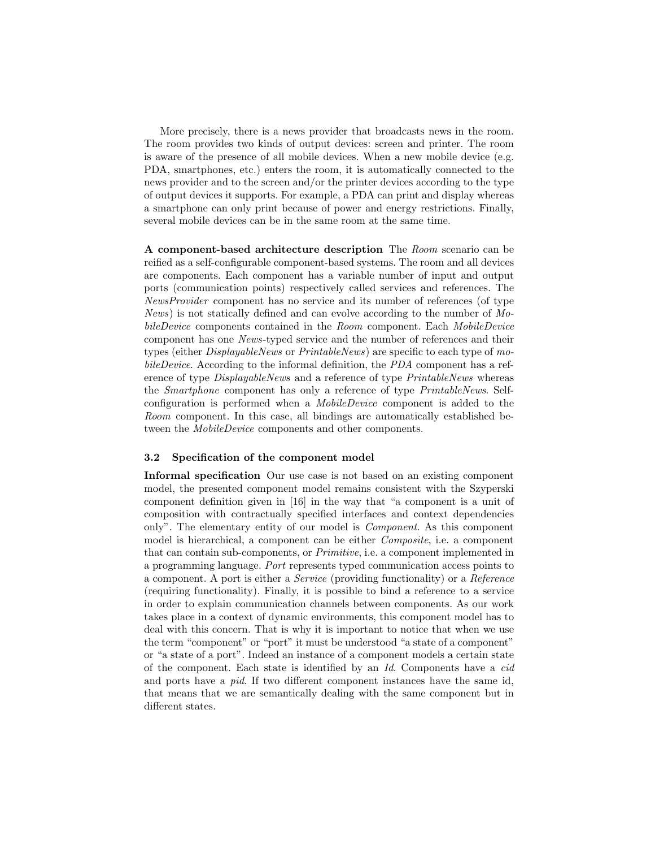More precisely, there is a news provider that broadcasts news in the room. The room provides two kinds of output devices: screen and printer. The room is aware of the presence of all mobile devices. When a new mobile device (e.g. PDA, smartphones, etc.) enters the room, it is automatically connected to the news provider and to the screen and/or the printer devices according to the type of output devices it supports. For example, a PDA can print and display whereas a smartphone can only print because of power and energy restrictions. Finally, several mobile devices can be in the same room at the same time.

A component-based architecture description The Room scenario can be reified as a self-configurable component-based systems. The room and all devices are components. Each component has a variable number of input and output ports (communication points) respectively called services and references. The NewsProvider component has no service and its number of references (of type News) is not statically defined and can evolve according to the number of MobileDevice components contained in the Room component. Each MobileDevice component has one News-typed service and the number of references and their types (either DisplayableNews or PrintableNews) are specific to each type of mobileDevice. According to the informal definition, the PDA component has a reference of type *DisplayableNews* and a reference of type *PrintableNews* whereas the *Smartphone* component has only a reference of type *PrintableNews*. Selfconfiguration is performed when a MobileDevice component is added to the Room component. In this case, all bindings are automatically established between the MobileDevice components and other components.

#### 3.2 Specification of the component model

Informal specification Our use case is not based on an existing component model, the presented component model remains consistent with the Szyperski component definition given in [16] in the way that "a component is a unit of composition with contractually specified interfaces and context dependencies only". The elementary entity of our model is Component. As this component model is hierarchical, a component can be either Composite, i.e. a component that can contain sub-components, or Primitive, i.e. a component implemented in a programming language. Port represents typed communication access points to a component. A port is either a Service (providing functionality) or a Reference (requiring functionality). Finally, it is possible to bind a reference to a service in order to explain communication channels between components. As our work takes place in a context of dynamic environments, this component model has to deal with this concern. That is why it is important to notice that when we use the term "component" or "port" it must be understood "a state of a component" or "a state of a port". Indeed an instance of a component models a certain state of the component. Each state is identified by an  $Id$ . Components have a *cid* and ports have a pid. If two different component instances have the same id, that means that we are semantically dealing with the same component but in different states.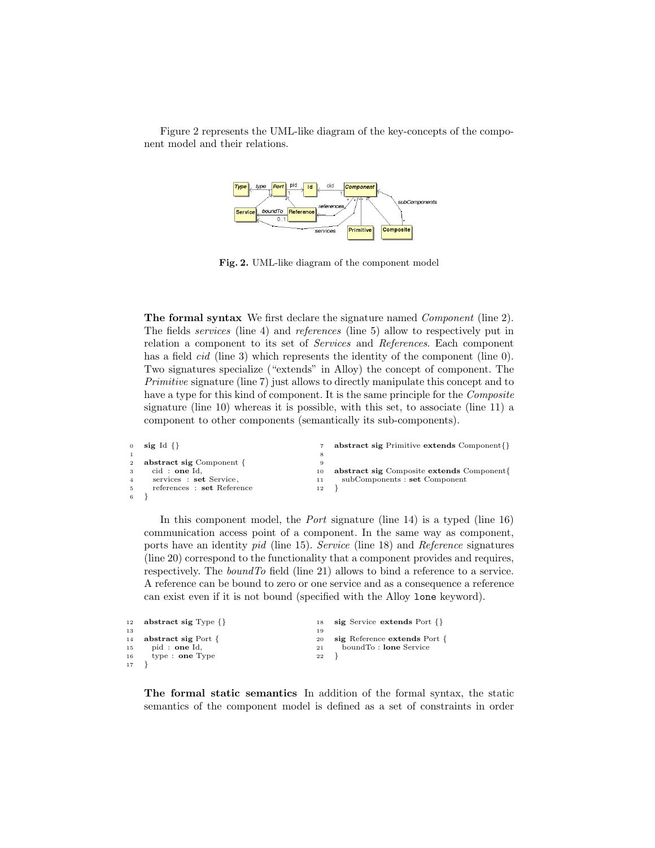Figure 2 represents the UML-like diagram of the key-concepts of the component model and their relations.



Fig. 2. UML-like diagram of the component model

The formal syntax We first declare the signature named Component (line 2). The fields services (line 4) and references (line 5) allow to respectively put in relation a component to its set of Services and References. Each component has a field *cid* (line 3) which represents the identity of the component (line 0). Two signatures specialize ("extends" in Alloy) the concept of component. The Primitive signature (line 7) just allows to directly manipulate this concept and to have a type for this kind of component. It is the same principle for the *Composite* signature (line  $10$ ) whereas it is possible, with this set, to associate (line  $11$ ) a component to other components (semantically its sub-components).

```
0 sig Id {}
1
2 abstract sig Component {
3 cid : one Id,
4 services : set Service ,
5 references : set Reference
\, 6 \,abstract sig Primitive extends Component{}
                                              \mathbf{8}9
                                              10 abstract sig Composite extends Component{
                                              11 subComponents : set Component
                                              12
```
In this component model, the Port signature (line 14) is a typed (line 16) communication access point of a component. In the same way as component, ports have an identity pid (line 15). Service (line 18) and Reference signatures (line 20) correspond to the functionality that a component provides and requires, respectively. The boundTo field (line 21) allows to bind a reference to a service. A reference can be bound to zero or one service and as a consequence a reference can exist even if it is not bound (specified with the Alloy lone keyword).

```
12 abstract sig Type {}
13
14 abstract sig Port {
15 pid : one Id,
16 type : one Type
17 }
                                                   18 sig Service extends Port {}
                                                   19
                                                   20 sig Reference extends Port {<br>21 boundTo : lone Service
                                                        boundTo: lone Service
                                                   22
```
The formal static semantics In addition of the formal syntax, the static semantics of the component model is defined as a set of constraints in order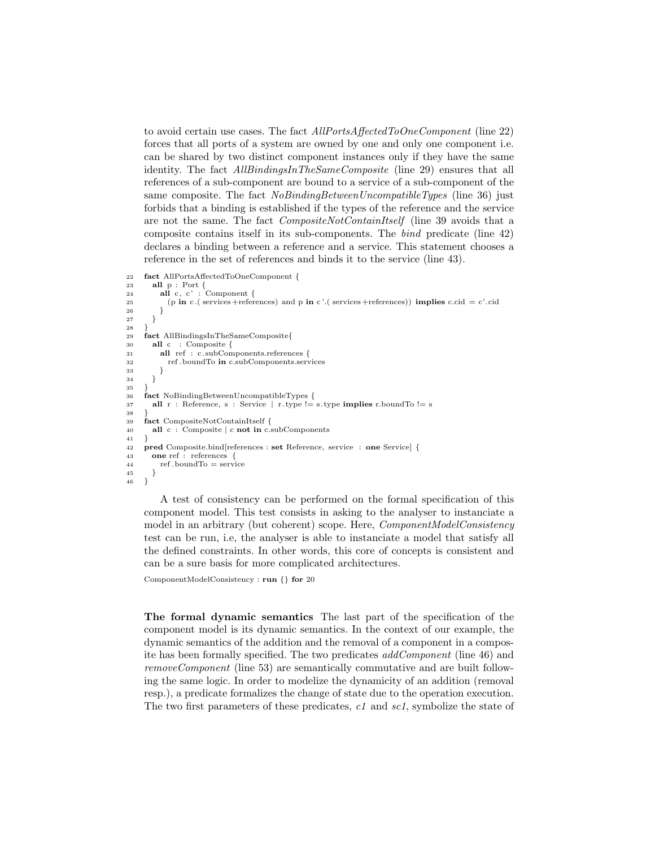to avoid certain use cases. The fact AllPortsAffectedToOneComponent (line 22) forces that all ports of a system are owned by one and only one component i.e. can be shared by two distinct component instances only if they have the same identity. The fact *AllBindingsInTheSameComposite* (line 29) ensures that all references of a sub-component are bound to a service of a sub-component of the same composite. The fact *NoBindingBetweenUncompatibleTypes* (line 36) just forbids that a binding is established if the types of the reference and the service are not the same. The fact *CompositeNotContainItself* (line 39 avoids that a composite contains itself in its sub-components. The bind predicate (line 42) declares a binding between a reference and a service. This statement chooses a reference in the set of references and binds it to the service (line 43).

```
22 fact AllPortsAffectedToOneComponent {
23 all p : Port {<br>24 all c, c' :all c, c' : Component {
25 (p in c .( services +references) and p in c'.( services +references)) implies c.cid = c'.cid
2627 }
28 }
29 fact AllBindingsInTheSameComposite{
30 all c : Composite {
31 all ref : c subComponents.references {
32 ref .boundTo in c.subComponents.services
33 }
34 }
35 }
36 fact NoBindingBetweenUncompatibleTypes {
37 all r : Reference, s : Service | r type != s type implies r bound To != s
38 }
39 fact CompositeNotContainItself {<br>40 all c : Composite \vert c \text{ not in } c.
       all c : Composite | c not in c.subComponents
41 }
42 pred Composite.bind[references : set Reference, service : one Service] {
43 one ref : references {
44 ref . bound To = service
\left\{\n \begin{array}{c}\n 45 \\
 46\n \end{array}\n \right\}46 }
```
A test of consistency can be performed on the formal specification of this component model. This test consists in asking to the analyser to instanciate a model in an arbitrary (but coherent) scope. Here, *ComponentModelConsistency* test can be run, i.e, the analyser is able to instanciate a model that satisfy all the defined constraints. In other words, this core of concepts is consistent and can be a sure basis for more complicated architectures.

ComponentModelConsistency : run {} for 20

The formal dynamic semantics The last part of the specification of the component model is its dynamic semantics. In the context of our example, the dynamic semantics of the addition and the removal of a component in a composite has been formally specified. The two predicates addComponent (line 46) and removeComponent (line 53) are semantically commutative and are built following the same logic. In order to modelize the dynamicity of an addition (removal resp.), a predicate formalizes the change of state due to the operation execution. The two first parameters of these predicates, c1 and sc1, symbolize the state of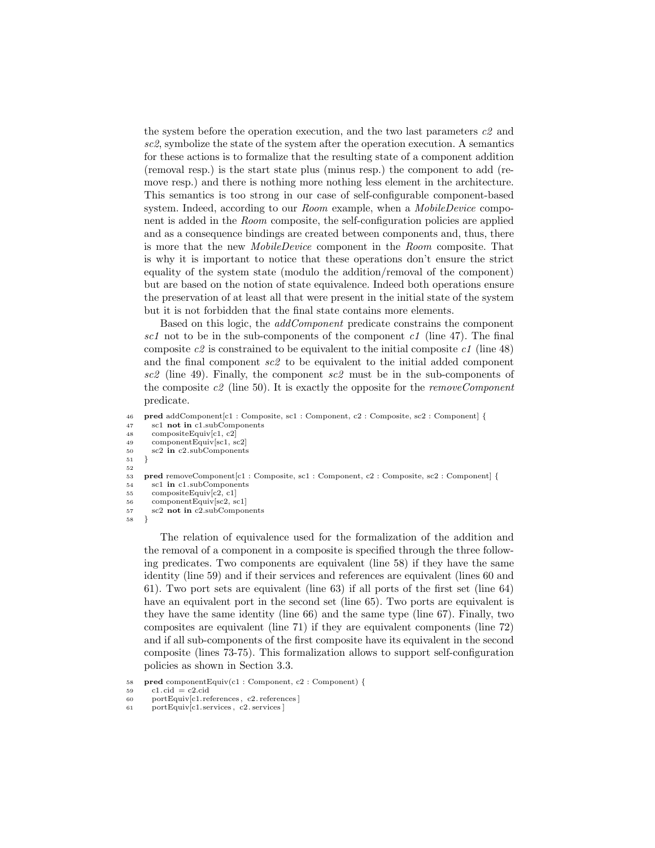the system before the operation execution, and the two last parameters  $c\hat{z}$  and sc2, symbolize the state of the system after the operation execution. A semantics for these actions is to formalize that the resulting state of a component addition (removal resp.) is the start state plus (minus resp.) the component to add (remove resp.) and there is nothing more nothing less element in the architecture. This semantics is too strong in our case of self-configurable component-based system. Indeed, according to our *Room* example, when a *MobileDevice* component is added in the Room composite, the self-configuration policies are applied and as a consequence bindings are created between components and, thus, there is more that the new MobileDevice component in the Room composite. That is why it is important to notice that these operations don't ensure the strict equality of the system state (modulo the addition/removal of the component) but are based on the notion of state equivalence. Indeed both operations ensure the preservation of at least all that were present in the initial state of the system but it is not forbidden that the final state contains more elements.

Based on this logic, the addComponent predicate constrains the component sc1 not to be in the sub-components of the component c1 (line 47). The final composite  $c2$  is constrained to be equivalent to the initial composite  $c1$  (line 48) and the final component  $\alpha z$  to be equivalent to the initial added component sc2 (line 49). Finally, the component sc2 must be in the sub-components of the composite c2 (line 50). It is exactly the opposite for the remove Component predicate.

```
46 pred addComponent[c1 : Composite, sc1 : Component, c2 : Composite, sc2 : Component] {
47 sc1 not in c1.subComponents
48 compositeEquiv[c1, c2]
49 componentEquiv[sc1, sc2]
50 sc2 in c2.subComponents
51 }
52
53 pred removeComponent[c1 : Composite, sc1 : Component, c2 : Composite, sc2 : Component] {
54 sc1 in c1.subComponents
55 compositeEquiv[c2, c1]
56 componentEquiv[sc2, sc1]
57 \quad \text{sc2 not in c2.subComponents}58 }
```
The relation of equivalence used for the formalization of the addition and the removal of a component in a composite is specified through the three following predicates. Two components are equivalent (line 58) if they have the same identity (line 59) and if their services and references are equivalent (lines 60 and 61). Two port sets are equivalent (line 63) if all ports of the first set (line 64) have an equivalent port in the second set (line 65). Two ports are equivalent is they have the same identity (line 66) and the same type (line 67). Finally, two composites are equivalent (line 71) if they are equivalent components (line 72) and if all sub-components of the first composite have its equivalent in the second composite (lines 73-75). This formalization allows to support self-configuration policies as shown in Section 3.3.

<sup>58</sup> pred componentEquiv(c1 : Component, c2 : Component) {

 $59$  c1. cid = c2. cid

<sup>60</sup> portEquiv[c1.references , c2. references ]

<sup>61</sup> portEquiv[c1.services , c2. services ]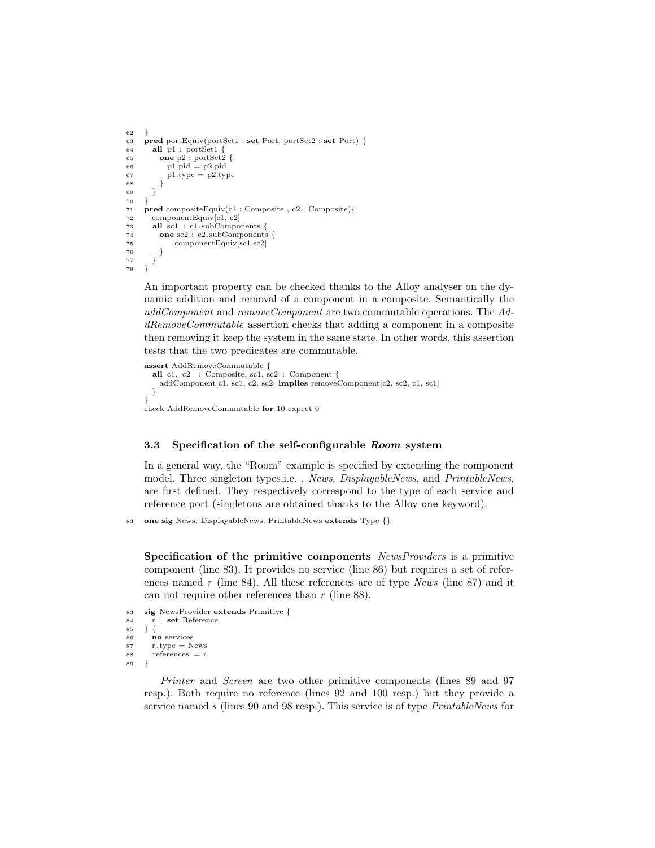```
62 }
63 pred portEquiv(portSet1 : set Port, portSet2 : set Port) {
64 all p1 : portSet1 {<br>65 one p2 : portSet2one p2 : portSet2 {
66 p1.pid = p2.pid<br>67 p1.type = p2.ty
               p1.type = p2.type68<br>69
         \}70 }
71 pred compositeEquiv(c1 : Composite , c2 : Composite){
72 componentEquiv[c1, c2]
73 all sc1 : c1.subComponents {<br>74 one sc2 : c2.subComponents
74 one sc2 : c2.subComponents {<br>
componentEquiv[sc1,sc2]
                 componentEquiv[sc1,sc2]\begin{matrix} 76 \\ 77 \end{matrix} \qquad \qquad \Big\}\begin{matrix} 77 \\ 78 \end{matrix}78 }
```
An important property can be checked thanks to the Alloy analyser on the dynamic addition and removal of a component in a composite. Semantically the addComponent and removeComponent are two commutable operations. The AddRemoveCommutable assertion checks that adding a component in a composite then removing it keep the system in the same state. In other words, this assertion tests that the two predicates are commutable.

```
assert AddRemoveCommutable {
  all c1, c2 : Composite, sc1, sc2 : Component {
   addComponent[c1, sc1, c2, sc2] implies removeComponent[c2, sc2, c1, sc1]
  }
}
check AddRemoveCommutable for 10 expect 0
```
### 3.3 Specification of the self-configurable Room system

In a general way, the "Room" example is specified by extending the component model. Three singleton types,i.e., News, DisplayableNews, and PrintableNews, are first defined. They respectively correspond to the type of each service and reference port (singletons are obtained thanks to the Alloy one keyword).

83 one sig News, DisplayableNews, PrintableNews extends Type {}

Specification of the primitive components NewsProviders is a primitive component (line 83). It provides no service (line 86) but requires a set of references named r (line 84). All these references are of type News (line 87) and it can not require other references than  $r$  (line 88).

```
83 sig NewsProvider extends Primitive {
84 r : set Reference
85 } {
86 no services
87 r.type = News
```
88 references  $= r$ <br>89 } 89 }

> Printer and Screen are two other primitive components (lines 89 and 97 resp.). Both require no reference (lines 92 and 100 resp.) but they provide a service named s (lines 90 and 98 resp.). This service is of type *PrintableNews* for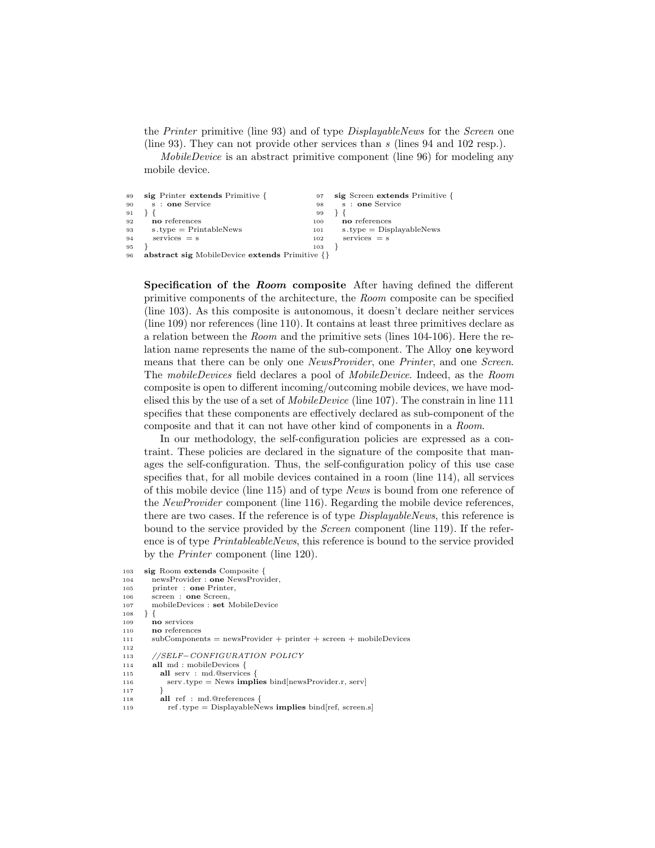the *Printer* primitive (line 93) and of type *DisplayableNews* for the *Screen* one (line 93). They can not provide other services than s (lines 94 and 102 resp.).

MobileDevice is an abstract primitive component (line 96) for modeling any mobile device.

```
89 sig Printer extends Primitive {
90 s : one Service
91 } {
92 no references
93 s. type = PrintableNews
94 services = s
95 }
96 abstract sig MobileDevice extends Primitive {}
                                             97 sig Screen extends Primitive {
                                             98 s : one Service
                                             99 } {
                                            100 no references
                                            101 s .type = DisplayableNews
                                            102 services = s<br>103103 }
```
Specification of the Room composite After having defined the different primitive components of the architecture, the Room composite can be specified (line 103). As this composite is autonomous, it doesn't declare neither services (line 109) nor references (line 110). It contains at least three primitives declare as a relation between the Room and the primitive sets (lines 104-106). Here the relation name represents the name of the sub-component. The Alloy one keyword means that there can be only one *NewsProvider*, one *Printer*, and one *Screen*. The mobileDevices field declares a pool of MobileDevice. Indeed, as the Room composite is open to different incoming/outcoming mobile devices, we have modelised this by the use of a set of MobileDevice (line 107). The constrain in line 111 specifies that these components are effectively declared as sub-component of the composite and that it can not have other kind of components in a Room.

In our methodology, the self-configuration policies are expressed as a contraint. These policies are declared in the signature of the composite that manages the self-configuration. Thus, the self-configuration policy of this use case specifies that, for all mobile devices contained in a room (line 114), all services of this mobile device (line 115) and of type News is bound from one reference of the NewProvider component (line 116). Regarding the mobile device references, there are two cases. If the reference is of type *DisplayableNews*, this reference is bound to the service provided by the Screen component (line 119). If the reference is of type *PrintableableNews*, this reference is bound to the service provided by the Printer component (line 120).

```
103 sig Room extends Composite {
104 newsProvider : one NewsProvider,<br>105 printer : one Printer.
       printer : one Printer,
106 screen : one Screen,<br>107 mobileDevices : set 1
       mobileDevices : set MobileDevice
108 } {
109 no services
110 no references
111 subComponents = newsProvider + printer + screen + mobileDevices
112
113 //SELF−CONFIGURATION POLICY
114 all md : mobileDevices {
115 all serv : md.@services
116 serv type = News implies bind[newsProvider.r, serv]
117 }
118 all ref : md.@references {
119 ref .type = DisplayableNews implies bind[ref, screen.s]
```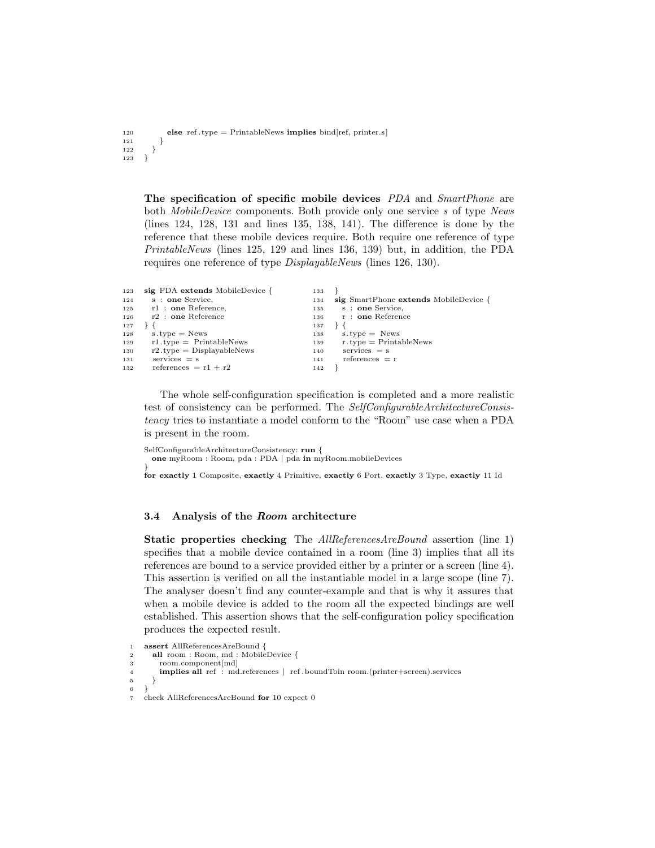```
120 else ref type = PrintableNews implies bind[ref, printer.s]\begin{array}{cc} 121 \\ 122 \end{array} \qquad \quad \}122 }
123 }
```
The specification of specific mobile devices PDA and SmartPhone are both MobileDevice components. Both provide only one service s of type News (lines 124, 128, 131 and lines 135, 138, 141). The difference is done by the reference that these mobile devices require. Both require one reference of type PrintableNews (lines 125, 129 and lines 136, 139) but, in addition, the PDA requires one reference of type *DisplayableNews* (lines 126, 130).

```
123 sig PDA extends MobileDevice {<br>124 s : one Service.
         s : one Service,
125 r1 : one Reference,<br>126 r2 : one Reference
         r2 : one Reference
\begin{array}{c} 127 \\ 128 \end{array} } {
         s.type = News
129 r1.type = PrintableNews
130 r2 .type = DisplayableNews
131 services = s
132 references = r1 + r2133 }
                                                                      sig SmartPhone extends MobileDevice {
                                                               135 s : one Service,<br>136 r : one Reference
                                                                        r : one Reference
                                                               \begin{array}{c} 137 \\ 138 \end{array} } {
                                                                        s.type = News
                                                               139 r \cdot type = PrintableNews140 services = s
                                                               141 references = r<br>142 }
                                                               142 }
```
The whole self-configuration specification is completed and a more realistic test of consistency can be performed. The SelfConfigurableArchitectureConsistency tries to instantiate a model conform to the "Room" use case when a PDA is present in the room.

```
SelfConfigurableArchitectureConsistency: run {
 one myRoom : Room, pda : PDA | pda in myRoom.mobileDevices
}
```
for exactly 1 Composite, exactly 4 Primitive, exactly 6 Port, exactly 3 Type, exactly 11 Id

#### 3.4 Analysis of the Room architecture

Static properties checking The AllReferencesAreBound assertion (line 1) specifies that a mobile device contained in a room (line 3) implies that all its references are bound to a service provided either by a printer or a screen (line 4). This assertion is verified on all the instantiable model in a large scope (line 7). The analyser doesn't find any counter-example and that is why it assures that when a mobile device is added to the room all the expected bindings are well established. This assertion shows that the self-configuration policy specification produces the expected result.

```
assert AllReferencesAreBound {
2 all room : Room, md : MobileDevice {
3 room.component[md]
4 implies all ref : md.references | ref .boundToin room.(printer+screen).services
5 }
6 }
   check AllReferencesAreBound for 10 expect 0
```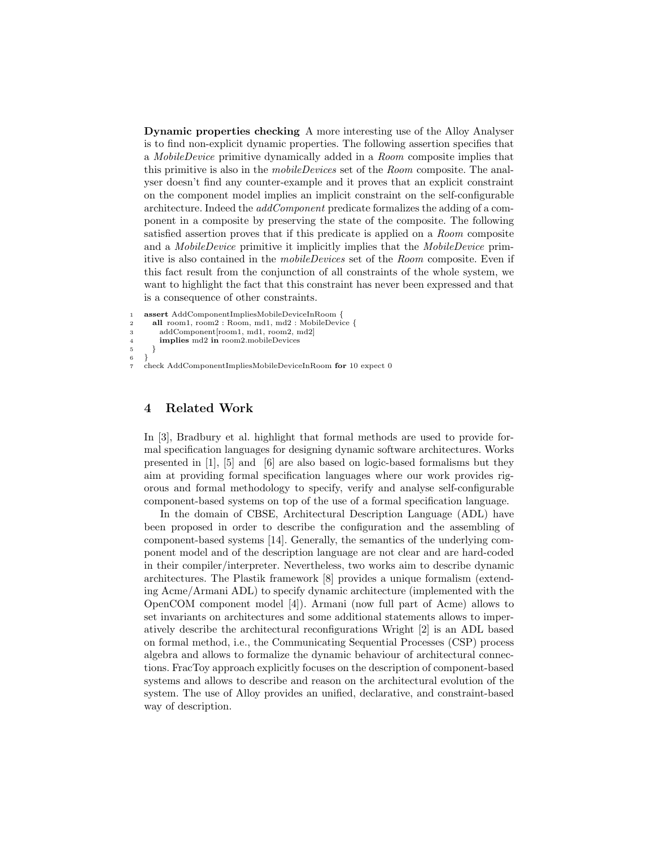Dynamic properties checking A more interesting use of the Alloy Analyser is to find non-explicit dynamic properties. The following assertion specifies that a MobileDevice primitive dynamically added in a Room composite implies that this primitive is also in the mobileDevices set of the Room composite. The analyser doesn't find any counter-example and it proves that an explicit constraint on the component model implies an implicit constraint on the self-configurable architecture. Indeed the *addComponent* predicate formalizes the adding of a component in a composite by preserving the state of the composite. The following satisfied assertion proves that if this predicate is applied on a Room composite and a MobileDevice primitive it implicitly implies that the MobileDevice primitive is also contained in the mobileDevices set of the Room composite. Even if this fact result from the conjunction of all constraints of the whole system, we want to highlight the fact that this constraint has never been expressed and that is a consequence of other constraints.

```
1 assert AddComponentImpliesMobileDeviceInRoom {
2 all room1, room2 : Room, md1, md2 : MobileDevice {
3 addComponent[room1, md1, room2, md2]
4 implies md2 in room2.mobileDevices
5 }
\epsiloncheck AddComponentImpliesMobileDeviceInRoom for 10 expect 0
```
## 4 Related Work

In [3], Bradbury et al. highlight that formal methods are used to provide formal specification languages for designing dynamic software architectures. Works presented in [1], [5] and [6] are also based on logic-based formalisms but they aim at providing formal specification languages where our work provides rigorous and formal methodology to specify, verify and analyse self-configurable component-based systems on top of the use of a formal specification language.

In the domain of CBSE, Architectural Description Language (ADL) have been proposed in order to describe the configuration and the assembling of component-based systems [14]. Generally, the semantics of the underlying component model and of the description language are not clear and are hard-coded in their compiler/interpreter. Nevertheless, two works aim to describe dynamic architectures. The Plastik framework [8] provides a unique formalism (extending Acme/Armani ADL) to specify dynamic architecture (implemented with the OpenCOM component model [4]). Armani (now full part of Acme) allows to set invariants on architectures and some additional statements allows to imperatively describe the architectural reconfigurations Wright [2] is an ADL based on formal method, i.e., the Communicating Sequential Processes (CSP) process algebra and allows to formalize the dynamic behaviour of architectural connections. FracToy approach explicitly focuses on the description of component-based systems and allows to describe and reason on the architectural evolution of the system. The use of Alloy provides an unified, declarative, and constraint-based way of description.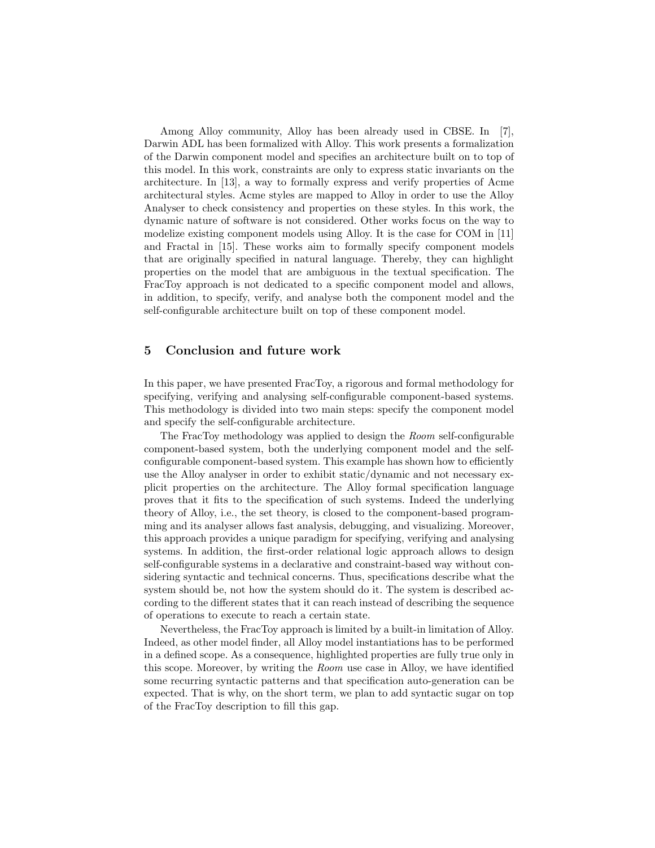Among Alloy community, Alloy has been already used in CBSE. In [7], Darwin ADL has been formalized with Alloy. This work presents a formalization of the Darwin component model and specifies an architecture built on to top of this model. In this work, constraints are only to express static invariants on the architecture. In [13], a way to formally express and verify properties of Acme architectural styles. Acme styles are mapped to Alloy in order to use the Alloy Analyser to check consistency and properties on these styles. In this work, the dynamic nature of software is not considered. Other works focus on the way to modelize existing component models using Alloy. It is the case for COM in [11] and Fractal in [15]. These works aim to formally specify component models that are originally specified in natural language. Thereby, they can highlight properties on the model that are ambiguous in the textual specification. The FracToy approach is not dedicated to a specific component model and allows, in addition, to specify, verify, and analyse both the component model and the self-configurable architecture built on top of these component model.

## 5 Conclusion and future work

In this paper, we have presented FracToy, a rigorous and formal methodology for specifying, verifying and analysing self-configurable component-based systems. This methodology is divided into two main steps: specify the component model and specify the self-configurable architecture.

The FracToy methodology was applied to design the Room self-configurable component-based system, both the underlying component model and the selfconfigurable component-based system. This example has shown how to efficiently use the Alloy analyser in order to exhibit static/dynamic and not necessary explicit properties on the architecture. The Alloy formal specification language proves that it fits to the specification of such systems. Indeed the underlying theory of Alloy, i.e., the set theory, is closed to the component-based programming and its analyser allows fast analysis, debugging, and visualizing. Moreover, this approach provides a unique paradigm for specifying, verifying and analysing systems. In addition, the first-order relational logic approach allows to design self-configurable systems in a declarative and constraint-based way without considering syntactic and technical concerns. Thus, specifications describe what the system should be, not how the system should do it. The system is described according to the different states that it can reach instead of describing the sequence of operations to execute to reach a certain state.

Nevertheless, the FracToy approach is limited by a built-in limitation of Alloy. Indeed, as other model finder, all Alloy model instantiations has to be performed in a defined scope. As a consequence, highlighted properties are fully true only in this scope. Moreover, by writing the Room use case in Alloy, we have identified some recurring syntactic patterns and that specification auto-generation can be expected. That is why, on the short term, we plan to add syntactic sugar on top of the FracToy description to fill this gap.